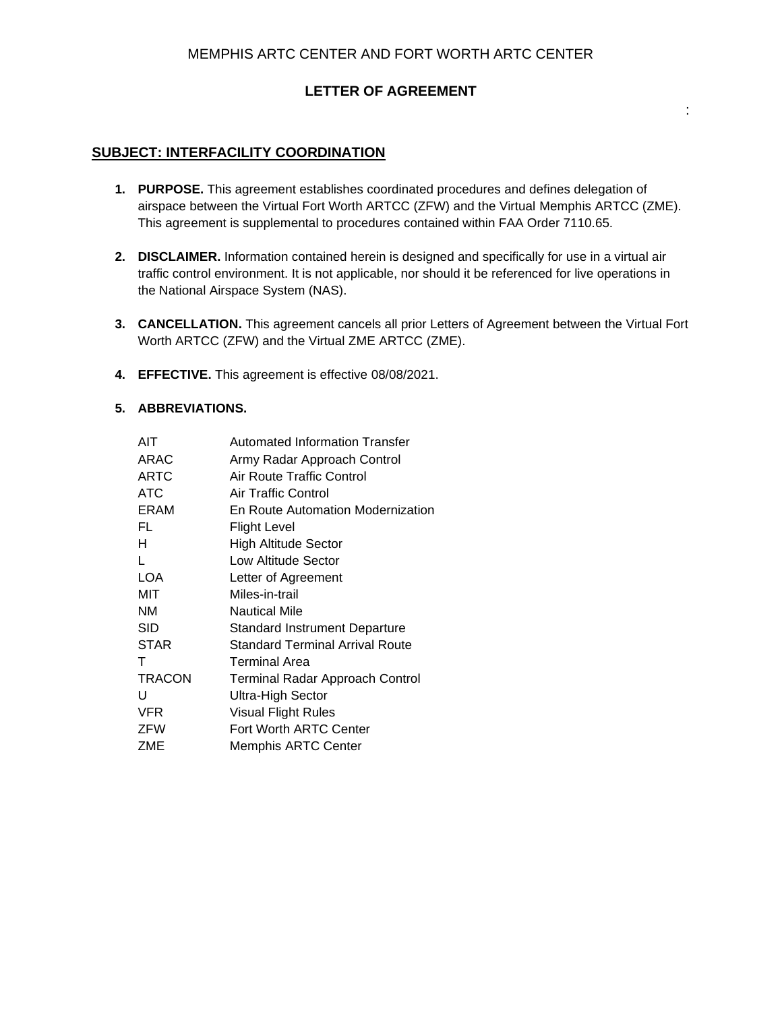# **LETTER OF AGREEMENT**

:

## **SUBJECT: INTERFACILITY COORDINATION**

- **1. PURPOSE.** This agreement establishes coordinated procedures and defines delegation of airspace between the Virtual Fort Worth ARTCC (ZFW) and the Virtual Memphis ARTCC (ZME). This agreement is supplemental to procedures contained within FAA Order 7110.65.
- **2. DISCLAIMER.** Information contained herein is designed and specifically for use in a virtual air traffic control environment. It is not applicable, nor should it be referenced for live operations in the National Airspace System (NAS).
- **3. CANCELLATION.** This agreement cancels all prior Letters of Agreement between the Virtual Fort Worth ARTCC (ZFW) and the Virtual ZME ARTCC (ZME).
- **4. EFFECTIVE.** This agreement is effective 08/08/2021.

## **5. ABBREVIATIONS.**

| AIT           | <b>Automated Information Transfer</b>  |
|---------------|----------------------------------------|
| ARAC          | Army Radar Approach Control            |
| <b>ARTC</b>   | Air Route Traffic Control              |
| ATC           | Air Traffic Control                    |
| ERAM          | En Route Automation Modernization      |
| FL            | Flight Level                           |
| н             | High Altitude Sector                   |
| L             | Low Altitude Sector                    |
| LOA           | Letter of Agreement                    |
| MIT           | Miles-in-trail                         |
| ΝM            | <b>Nautical Mile</b>                   |
| SID           | Standard Instrument Departure          |
| <b>STAR</b>   | Standard Terminal Arrival Route        |
| Τ             | Terminal Area                          |
| <b>TRACON</b> | <b>Terminal Radar Approach Control</b> |
| U             | Ultra-High Sector                      |
| <b>VFR</b>    | <b>Visual Flight Rules</b>             |
| <b>ZFW</b>    | Fort Worth ARTC Center                 |
| ZME           | <b>Memphis ARTC Center</b>             |
|               |                                        |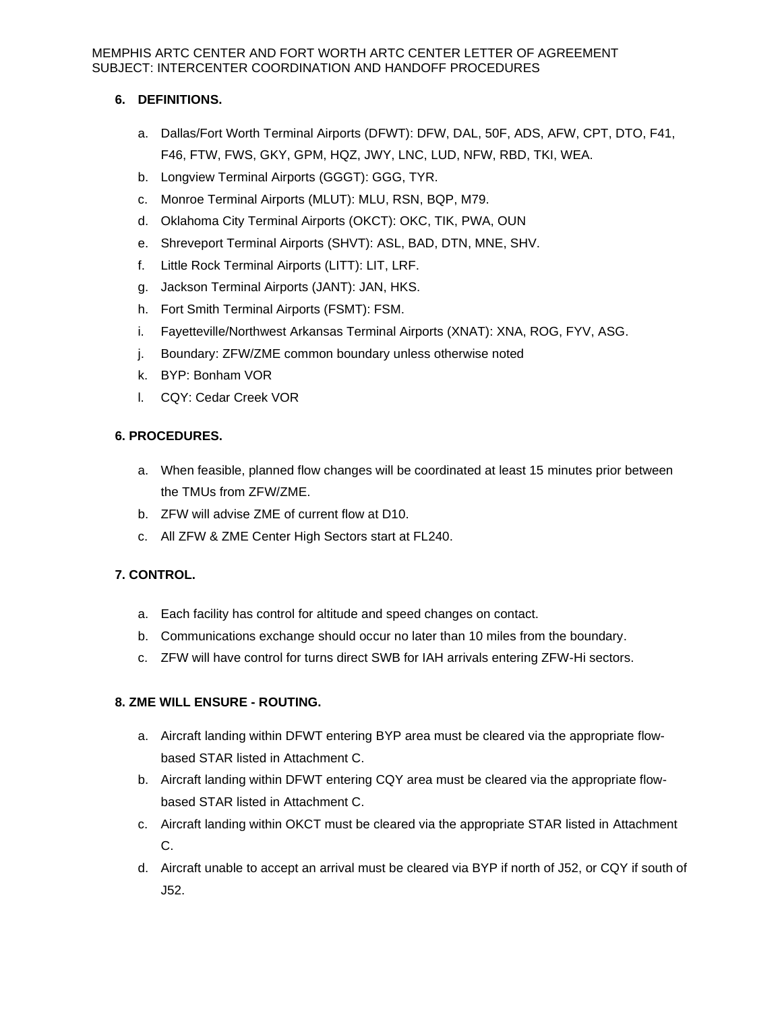## **6. DEFINITIONS.**

- a. Dallas/Fort Worth Terminal Airports (DFWT): DFW, DAL, 50F, ADS, AFW, CPT, DTO, F41, F46, FTW, FWS, GKY, GPM, HQZ, JWY, LNC, LUD, NFW, RBD, TKI, WEA.
- b. Longview Terminal Airports (GGGT): GGG, TYR.
- c. Monroe Terminal Airports (MLUT): MLU, RSN, BQP, M79.
- d. Oklahoma City Terminal Airports (OKCT): OKC, TIK, PWA, OUN
- e. Shreveport Terminal Airports (SHVT): ASL, BAD, DTN, MNE, SHV.
- f. Little Rock Terminal Airports (LITT): LIT, LRF.
- g. Jackson Terminal Airports (JANT): JAN, HKS.
- h. Fort Smith Terminal Airports (FSMT): FSM.
- i. Fayetteville/Northwest Arkansas Terminal Airports (XNAT): XNA, ROG, FYV, ASG.
- j. Boundary: ZFW/ZME common boundary unless otherwise noted
- k. BYP: Bonham VOR
- l. CQY: Cedar Creek VOR

## **6. PROCEDURES.**

- a. When feasible, planned flow changes will be coordinated at least 15 minutes prior between the TMUs from ZFW/ZME.
- b. ZFW will advise ZME of current flow at D10.
- c. All ZFW & ZME Center High Sectors start at FL240.

## **7. CONTROL.**

- a. Each facility has control for altitude and speed changes on contact.
- b. Communications exchange should occur no later than 10 miles from the boundary.
- c. ZFW will have control for turns direct SWB for IAH arrivals entering ZFW-Hi sectors.

## **8. ZME WILL ENSURE - ROUTING.**

- a. Aircraft landing within DFWT entering BYP area must be cleared via the appropriate flowbased STAR listed in Attachment C.
- b. Aircraft landing within DFWT entering CQY area must be cleared via the appropriate flowbased STAR listed in Attachment C.
- c. Aircraft landing within OKCT must be cleared via the appropriate STAR listed in Attachment C.
- d. Aircraft unable to accept an arrival must be cleared via BYP if north of J52, or CQY if south of J52.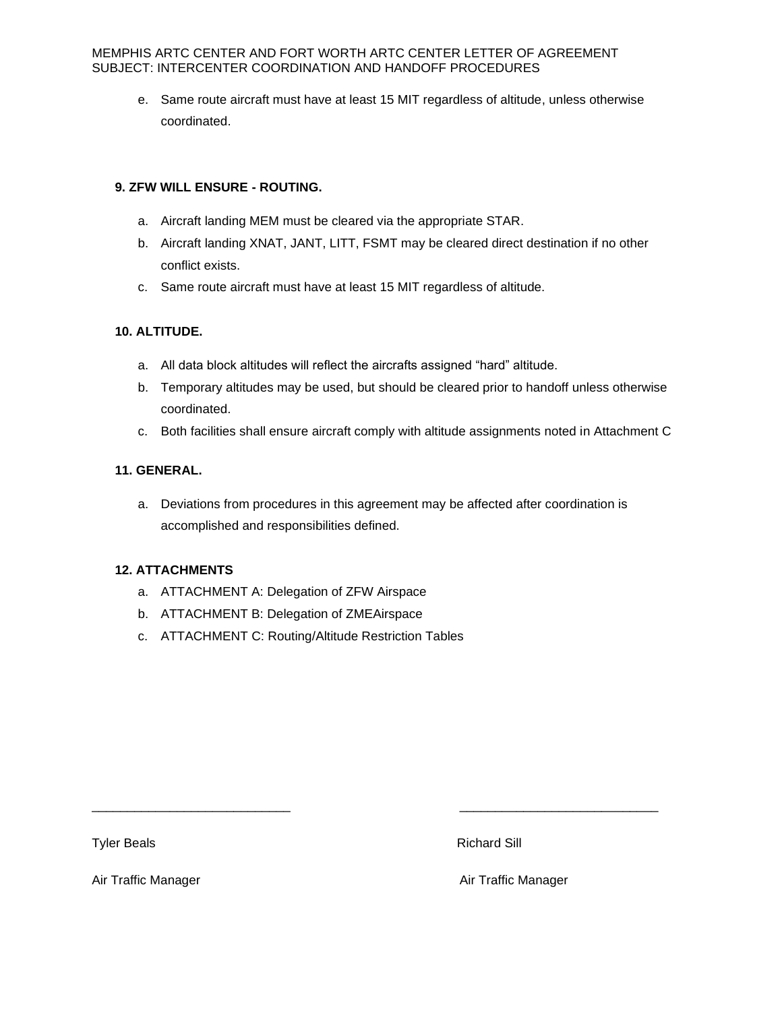e. Same route aircraft must have at least 15 MIT regardless of altitude, unless otherwise coordinated.

## **9. ZFW WILL ENSURE - ROUTING.**

- a. Aircraft landing MEM must be cleared via the appropriate STAR.
- b. Aircraft landing XNAT, JANT, LITT, FSMT may be cleared direct destination if no other conflict exists.
- c. Same route aircraft must have at least 15 MIT regardless of altitude.

## **10. ALTITUDE.**

- a. All data block altitudes will reflect the aircrafts assigned "hard" altitude.
- b. Temporary altitudes may be used, but should be cleared prior to handoff unless otherwise coordinated.
- c. Both facilities shall ensure aircraft comply with altitude assignments noted in Attachment C

## **11. GENERAL.**

a. Deviations from procedures in this agreement may be affected after coordination is accomplished and responsibilities defined.

\_\_\_\_\_\_\_\_\_\_\_\_\_\_\_\_\_\_\_\_\_\_\_\_\_\_\_\_ \_\_\_\_\_\_\_\_\_\_\_\_\_\_\_\_\_\_\_\_\_\_\_\_\_\_\_\_

## **12. ATTACHMENTS**

- a. ATTACHMENT A: Delegation of ZFW Airspace
- b. ATTACHMENT B: Delegation of ZMEAirspace
- c. ATTACHMENT C: Routing/Altitude Restriction Tables

Tyler Beals **Richard Sill Richard Sill** 

Air Traffic Manager **Air Traffic Manager** Air Traffic Manager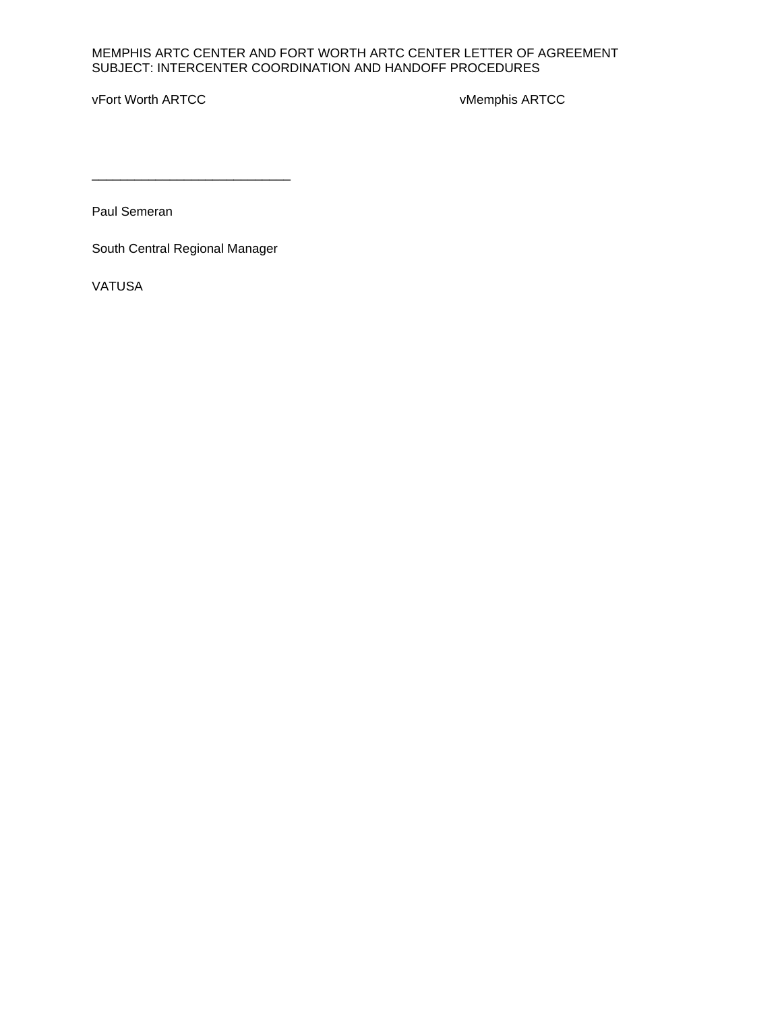vFort Worth ARTCC version of the control of the vMemphis ARTCC

Paul Semeran

South Central Regional Manager

\_\_\_\_\_\_\_\_\_\_\_\_\_\_\_\_\_\_\_\_\_\_\_\_\_\_\_\_

VATUSA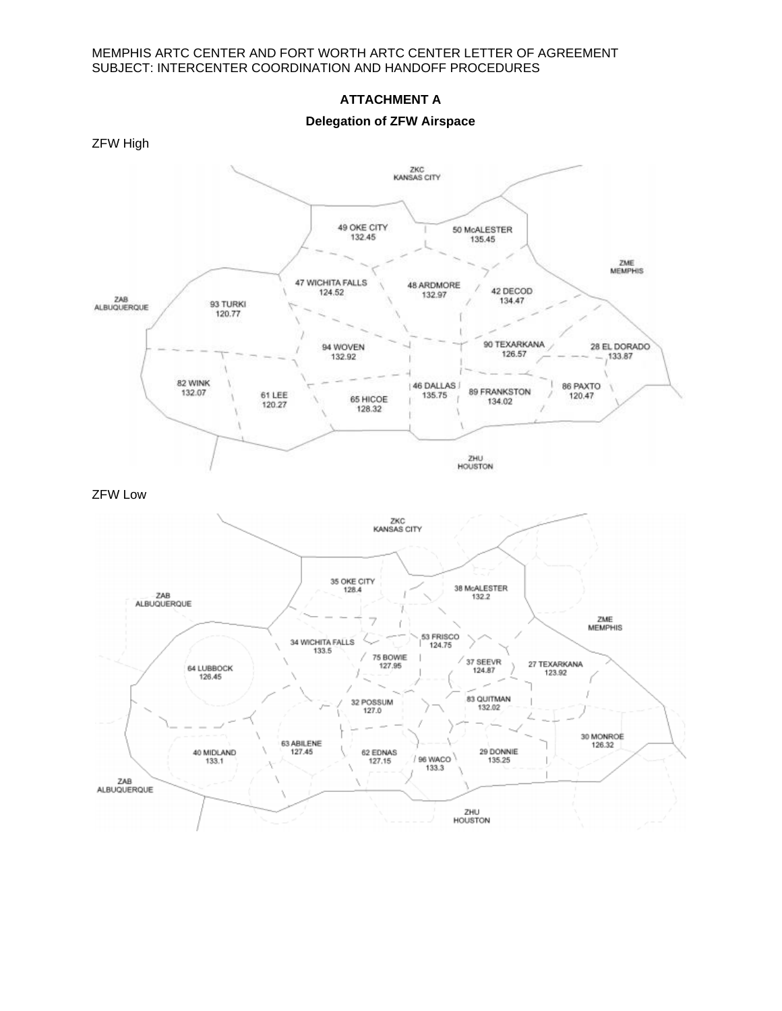#### **ATTACHMENT A**

**Delegation of ZFW Airspace**

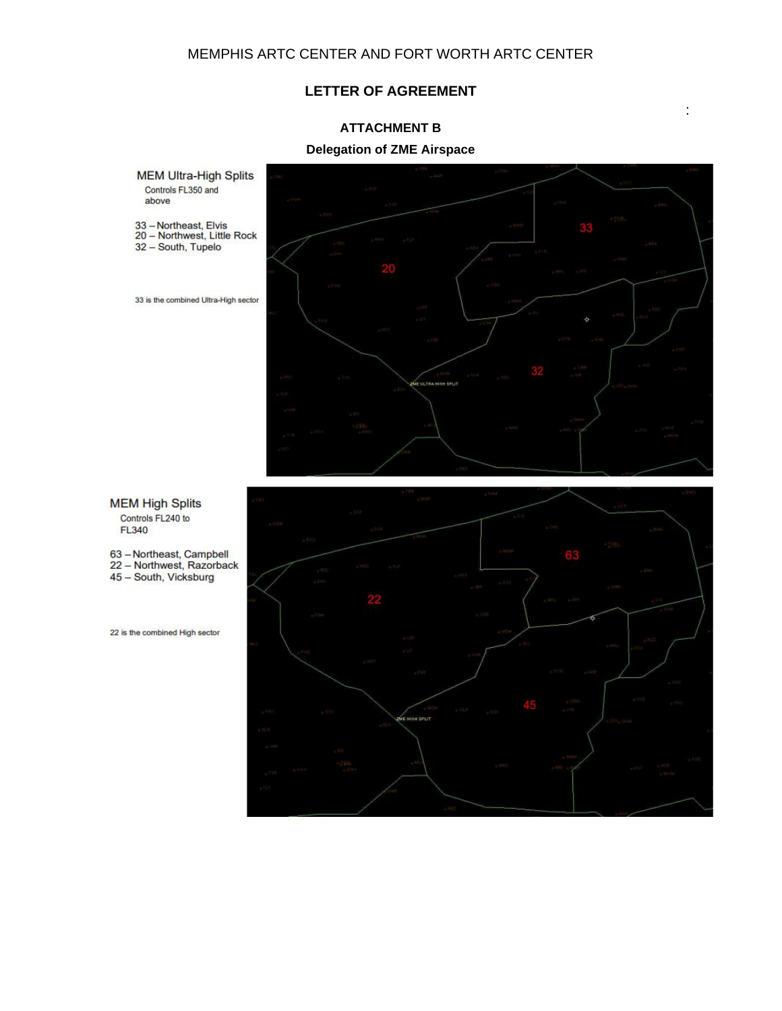## **LETTER OF AGREEMENT**

# **ATTACHMENT B**

## **Delegation of ZME Airspace**

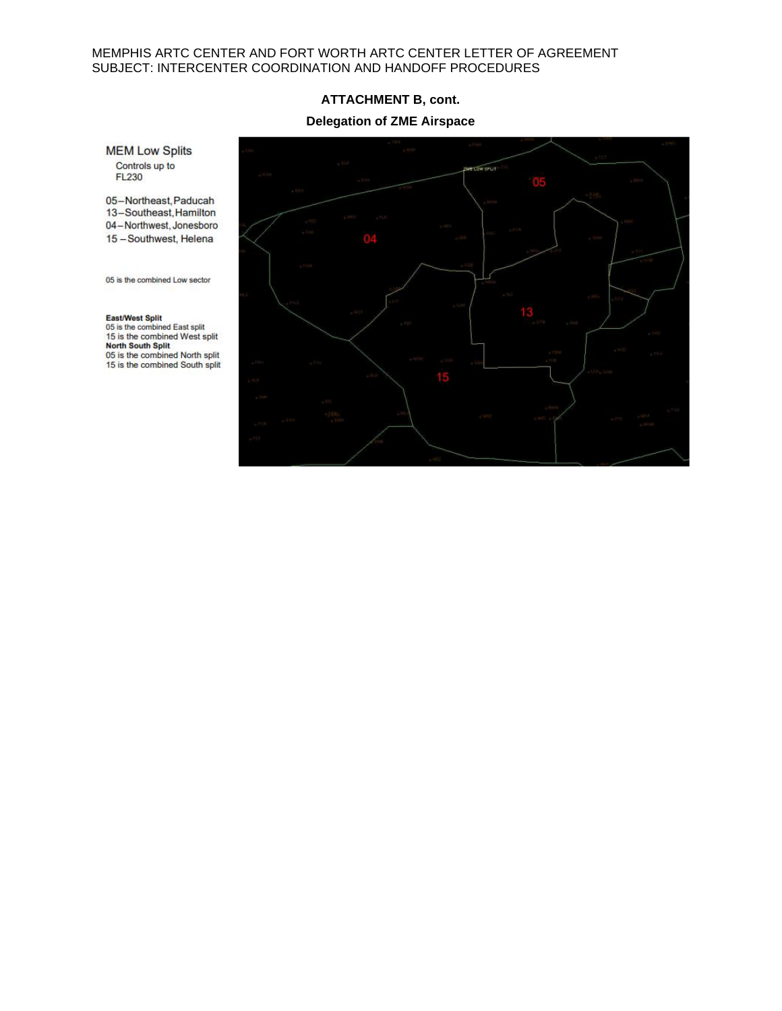#### **ATTACHMENT B, cont.**

#### **Delegation of ZME Airspace**

**MEM Low Splits** Controls up to<br>FL230

05-Northeast, Paducah 13-Southeast, Hamilton 04-Northwest, Jonesboro 15 - Southwest, Helena

05 is the combined Low sector

East/West Split 05 is the combined East split 15 is the combined West split North South Split<br>05 is the combined North split<br>15 is the combined South split